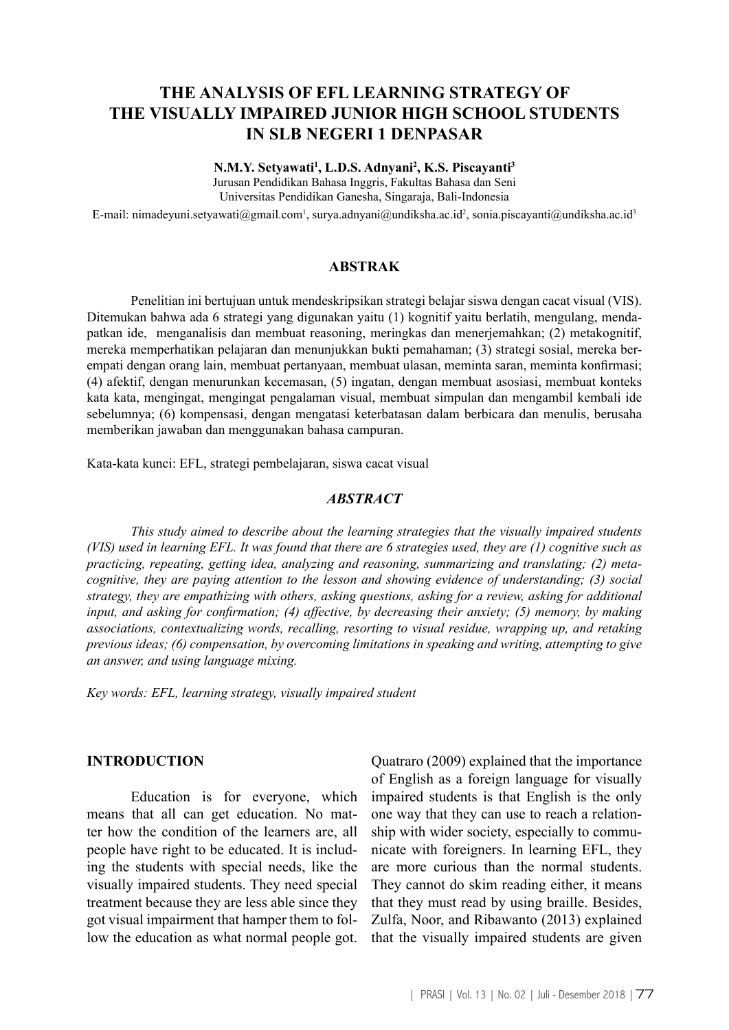# **THE ANALYSIS OF EFL LEARNING STRATEGY OF THE VISUALLY IMPAIRED JUNIOR HIGH SCHOOL STUDENTS IN SLB NEGERI 1 DENPASAR**

**N.M.Y. Setyawati1 , L.D.S. Adnyani2 , K.S. Piscayanti3**

Jurusan Pendidikan Bahasa Inggris, Fakultas Bahasa dan Seni Universitas Pendidikan Ganesha, Singaraja, Bali-Indonesia

E-mail: nimadeyuni.setyawati@gmail.com<sup>1</sup>, surya.adnyani@undiksha.ac.id<sup>2</sup>, sonia.piscayanti@undiksha.ac.id<sup>3</sup>

#### **ABSTRAK**

Penelitian ini bertujuan untuk mendeskripsikan strategi belajar siswa dengan cacat visual (VIS). Ditemukan bahwa ada 6 strategi yang digunakan yaitu (1) kognitif yaitu berlatih, mengulang, mendapatkan ide, menganalisis dan membuat reasoning, meringkas dan menerjemahkan; (2) metakognitif, mereka memperhatikan pelajaran dan menunjukkan bukti pemahaman; (3) strategi sosial, mereka berempati dengan orang lain, membuat pertanyaan, membuat ulasan, meminta saran, meminta konfirmasi; (4) afektif, dengan menurunkan kecemasan, (5) ingatan, dengan membuat asosiasi, membuat konteks kata kata, mengingat, mengingat pengalaman visual, membuat simpulan dan mengambil kembali ide sebelumnya; (6) kompensasi, dengan mengatasi keterbatasan dalam berbicara dan menulis, berusaha memberikan jawaban dan menggunakan bahasa campuran.

Kata-kata kunci: EFL, strategi pembelajaran, siswa cacat visual

#### *ABSTRACT*

*This study aimed to describe about the learning strategies that the visually impaired students (VIS) used in learning EFL. It was found that there are 6 strategies used, they are (1) cognitive such as practicing, repeating, getting idea, analyzing and reasoning, summarizing and translating; (2) metacognitive, they are paying attention to the lesson and showing evidence of understanding; (3) social strategy, they are empathizing with others, asking questions, asking for a review, asking for additional input, and asking for confirmation; (4) affective, by decreasing their anxiety; (5) memory, by making associations, contextualizing words, recalling, resorting to visual residue, wrapping up, and retaking previous ideas; (6) compensation, by overcoming limitations in speaking and writing, attempting to give an answer, and using language mixing.* 

*Key words: EFL, learning strategy, visually impaired student* 

# **INTRODUCTION**

Education is for everyone, which means that all can get education. No matter how the condition of the learners are, all people have right to be educated. It is including the students with special needs, like the visually impaired students. They need special treatment because they are less able since they got visual impairment that hamper them to follow the education as what normal people got.

Quatraro (2009) explained that the importance of English as a foreign language for visually impaired students is that English is the only one way that they can use to reach a relationship with wider society, especially to communicate with foreigners. In learning EFL, they are more curious than the normal students. They cannot do skim reading either, it means that they must read by using braille. Besides, Zulfa, Noor, and Ribawanto (2013) explained that the visually impaired students are given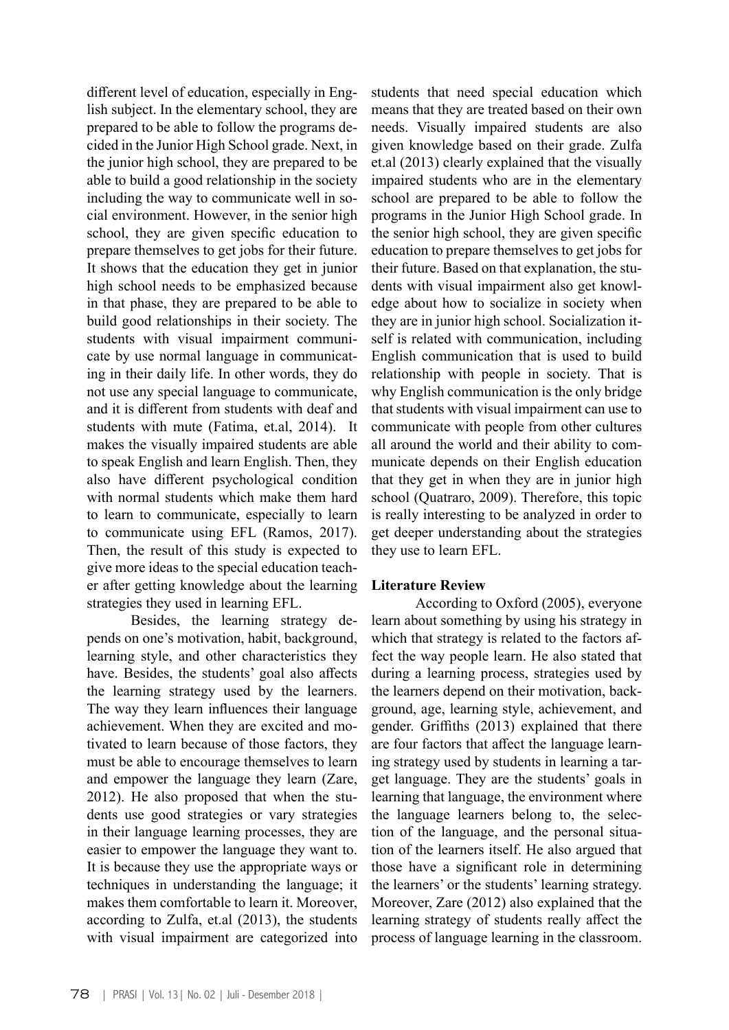different level of education, especially in English subject. In the elementary school, they are prepared to be able to follow the programs decided in the Junior High School grade. Next, in the junior high school, they are prepared to be able to build a good relationship in the society including the way to communicate well in social environment. However, in the senior high school, they are given specific education to prepare themselves to get jobs for their future. It shows that the education they get in junior high school needs to be emphasized because in that phase, they are prepared to be able to build good relationships in their society. The students with visual impairment communicate by use normal language in communicating in their daily life. In other words, they do not use any special language to communicate, and it is different from students with deaf and students with mute (Fatima, et.al, 2014). It makes the visually impaired students are able to speak English and learn English. Then, they also have different psychological condition with normal students which make them hard to learn to communicate, especially to learn to communicate using EFL (Ramos, 2017). Then, the result of this study is expected to give more ideas to the special education teacher after getting knowledge about the learning strategies they used in learning EFL.

Besides, the learning strategy depends on one's motivation, habit, background, learning style, and other characteristics they have. Besides, the students' goal also affects the learning strategy used by the learners. The way they learn influences their language achievement. When they are excited and motivated to learn because of those factors, they must be able to encourage themselves to learn and empower the language they learn (Zare, 2012). He also proposed that when the students use good strategies or vary strategies in their language learning processes, they are easier to empower the language they want to. It is because they use the appropriate ways or techniques in understanding the language; it makes them comfortable to learn it. Moreover, according to Zulfa, et.al (2013), the students with visual impairment are categorized into

students that need special education which means that they are treated based on their own needs. Visually impaired students are also given knowledge based on their grade. Zulfa et.al (2013) clearly explained that the visually impaired students who are in the elementary school are prepared to be able to follow the programs in the Junior High School grade. In the senior high school, they are given specific education to prepare themselves to get jobs for their future. Based on that explanation, the students with visual impairment also get knowledge about how to socialize in society when they are in junior high school. Socialization itself is related with communication, including English communication that is used to build relationship with people in society. That is why English communication is the only bridge that students with visual impairment can use to communicate with people from other cultures all around the world and their ability to communicate depends on their English education that they get in when they are in junior high school (Quatraro, 2009). Therefore, this topic is really interesting to be analyzed in order to get deeper understanding about the strategies they use to learn EFL.

# **Literature Review**

According to Oxford (2005), everyone learn about something by using his strategy in which that strategy is related to the factors affect the way people learn. He also stated that during a learning process, strategies used by the learners depend on their motivation, background, age, learning style, achievement, and gender. Griffiths (2013) explained that there are four factors that affect the language learning strategy used by students in learning a target language. They are the students' goals in learning that language, the environment where the language learners belong to, the selection of the language, and the personal situation of the learners itself. He also argued that those have a significant role in determining the learners' or the students' learning strategy. Moreover, Zare (2012) also explained that the learning strategy of students really affect the process of language learning in the classroom.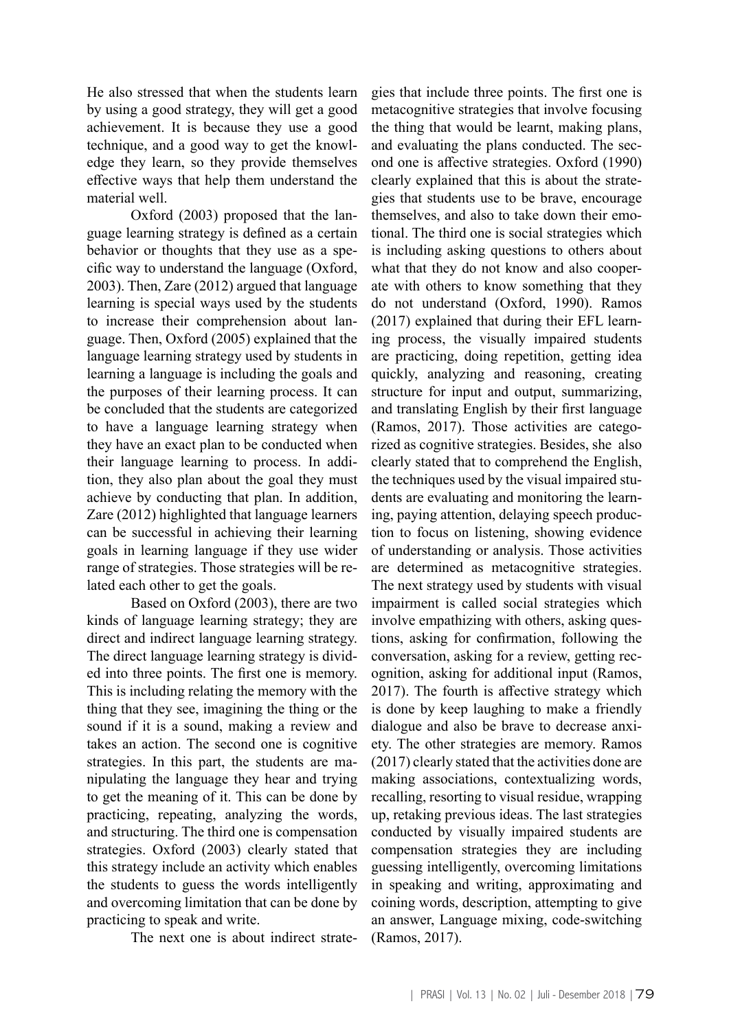He also stressed that when the students learn by using a good strategy, they will get a good achievement. It is because they use a good technique, and a good way to get the knowledge they learn, so they provide themselves effective ways that help them understand the material well.

Oxford (2003) proposed that the language learning strategy is defined as a certain behavior or thoughts that they use as a specific way to understand the language (Oxford, 2003). Then, Zare (2012) argued that language learning is special ways used by the students to increase their comprehension about language. Then, Oxford (2005) explained that the language learning strategy used by students in learning a language is including the goals and the purposes of their learning process. It can be concluded that the students are categorized to have a language learning strategy when they have an exact plan to be conducted when their language learning to process. In addition, they also plan about the goal they must achieve by conducting that plan. In addition, Zare (2012) highlighted that language learners can be successful in achieving their learning goals in learning language if they use wider range of strategies. Those strategies will be related each other to get the goals.

Based on Oxford (2003), there are two kinds of language learning strategy; they are direct and indirect language learning strategy. The direct language learning strategy is divided into three points. The first one is memory. This is including relating the memory with the thing that they see, imagining the thing or the sound if it is a sound, making a review and takes an action. The second one is cognitive strategies. In this part, the students are manipulating the language they hear and trying to get the meaning of it. This can be done by practicing, repeating, analyzing the words, and structuring. The third one is compensation strategies. Oxford (2003) clearly stated that this strategy include an activity which enables the students to guess the words intelligently and overcoming limitation that can be done by practicing to speak and write.

The next one is about indirect strate-

gies that include three points. The first one is metacognitive strategies that involve focusing the thing that would be learnt, making plans, and evaluating the plans conducted. The second one is affective strategies. Oxford (1990) clearly explained that this is about the strategies that students use to be brave, encourage themselves, and also to take down their emotional. The third one is social strategies which is including asking questions to others about what that they do not know and also cooperate with others to know something that they do not understand (Oxford, 1990). Ramos (2017) explained that during their EFL learning process, the visually impaired students are practicing, doing repetition, getting idea quickly, analyzing and reasoning, creating structure for input and output, summarizing, and translating English by their first language (Ramos, 2017). Those activities are categorized as cognitive strategies. Besides, she also clearly stated that to comprehend the English, the techniques used by the visual impaired students are evaluating and monitoring the learning, paying attention, delaying speech production to focus on listening, showing evidence of understanding or analysis. Those activities are determined as metacognitive strategies. The next strategy used by students with visual impairment is called social strategies which involve empathizing with others, asking questions, asking for confirmation, following the conversation, asking for a review, getting recognition, asking for additional input (Ramos, 2017). The fourth is affective strategy which is done by keep laughing to make a friendly dialogue and also be brave to decrease anxiety. The other strategies are memory. Ramos (2017) clearly stated that the activities done are making associations, contextualizing words, recalling, resorting to visual residue, wrapping up, retaking previous ideas. The last strategies conducted by visually impaired students are compensation strategies they are including guessing intelligently, overcoming limitations in speaking and writing, approximating and coining words, description, attempting to give an answer, Language mixing, code-switching (Ramos, 2017).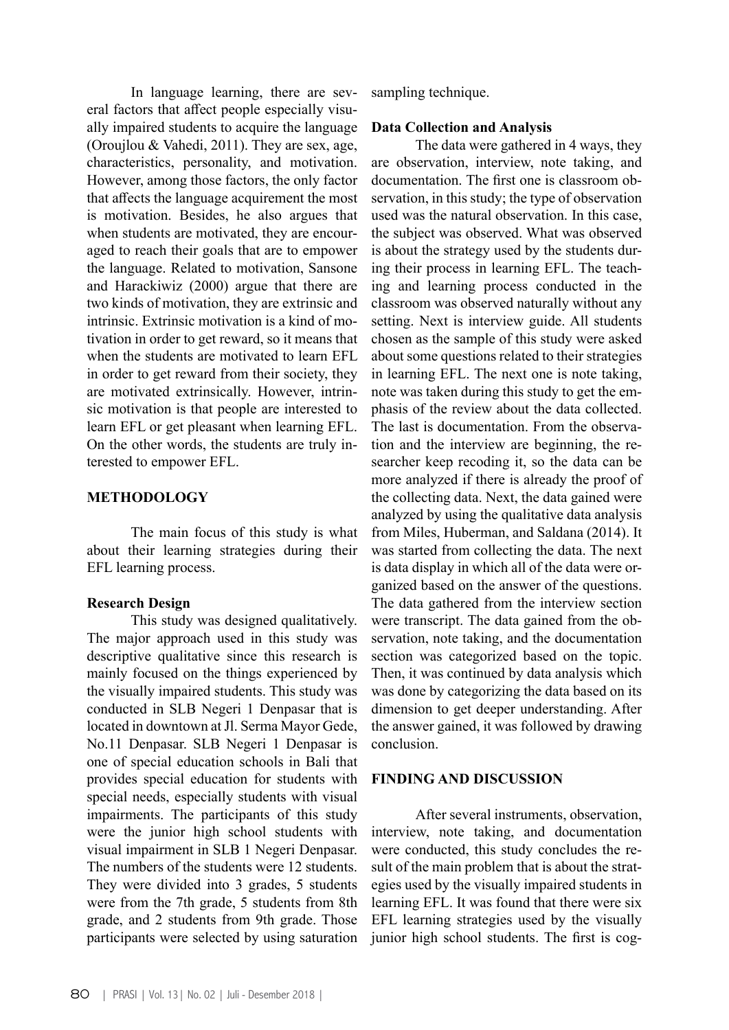In language learning, there are several factors that affect people especially visually impaired students to acquire the language (Oroujlou & Vahedi, 2011). They are sex, age, characteristics, personality, and motivation. However, among those factors, the only factor that affects the language acquirement the most is motivation. Besides, he also argues that when students are motivated, they are encouraged to reach their goals that are to empower the language. Related to motivation, Sansone and Harackiwiz (2000) argue that there are two kinds of motivation, they are extrinsic and intrinsic. Extrinsic motivation is a kind of motivation in order to get reward, so it means that when the students are motivated to learn EFL in order to get reward from their society, they are motivated extrinsically. However, intrinsic motivation is that people are interested to learn EFL or get pleasant when learning EFL. On the other words, the students are truly interested to empower EFL.

### **METHODOLOGY**

The main focus of this study is what about their learning strategies during their EFL learning process.

#### **Research Design**

This study was designed qualitatively. The major approach used in this study was descriptive qualitative since this research is mainly focused on the things experienced by the visually impaired students. This study was conducted in SLB Negeri 1 Denpasar that is located in downtown at Jl. Serma Mayor Gede, No.11 Denpasar. SLB Negeri 1 Denpasar is one of special education schools in Bali that provides special education for students with special needs, especially students with visual impairments. The participants of this study were the junior high school students with visual impairment in SLB 1 Negeri Denpasar. The numbers of the students were 12 students. They were divided into 3 grades, 5 students were from the 7th grade, 5 students from 8th grade, and 2 students from 9th grade. Those participants were selected by using saturation

sampling technique.

## **Data Collection and Analysis**

The data were gathered in 4 ways, they are observation, interview, note taking, and documentation. The first one is classroom observation, in this study; the type of observation used was the natural observation. In this case, the subject was observed. What was observed is about the strategy used by the students during their process in learning EFL. The teaching and learning process conducted in the classroom was observed naturally without any setting. Next is interview guide. All students chosen as the sample of this study were asked about some questions related to their strategies in learning EFL. The next one is note taking, note was taken during this study to get the emphasis of the review about the data collected. The last is documentation. From the observation and the interview are beginning, the researcher keep recoding it, so the data can be more analyzed if there is already the proof of the collecting data. Next, the data gained were analyzed by using the qualitative data analysis from Miles, Huberman, and Saldana (2014). It was started from collecting the data. The next is data display in which all of the data were organized based on the answer of the questions. The data gathered from the interview section were transcript. The data gained from the observation, note taking, and the documentation section was categorized based on the topic. Then, it was continued by data analysis which was done by categorizing the data based on its dimension to get deeper understanding. After the answer gained, it was followed by drawing conclusion.

# **FINDING AND DISCUSSION**

After several instruments, observation, interview, note taking, and documentation were conducted, this study concludes the result of the main problem that is about the strategies used by the visually impaired students in learning EFL. It was found that there were six EFL learning strategies used by the visually junior high school students. The first is cog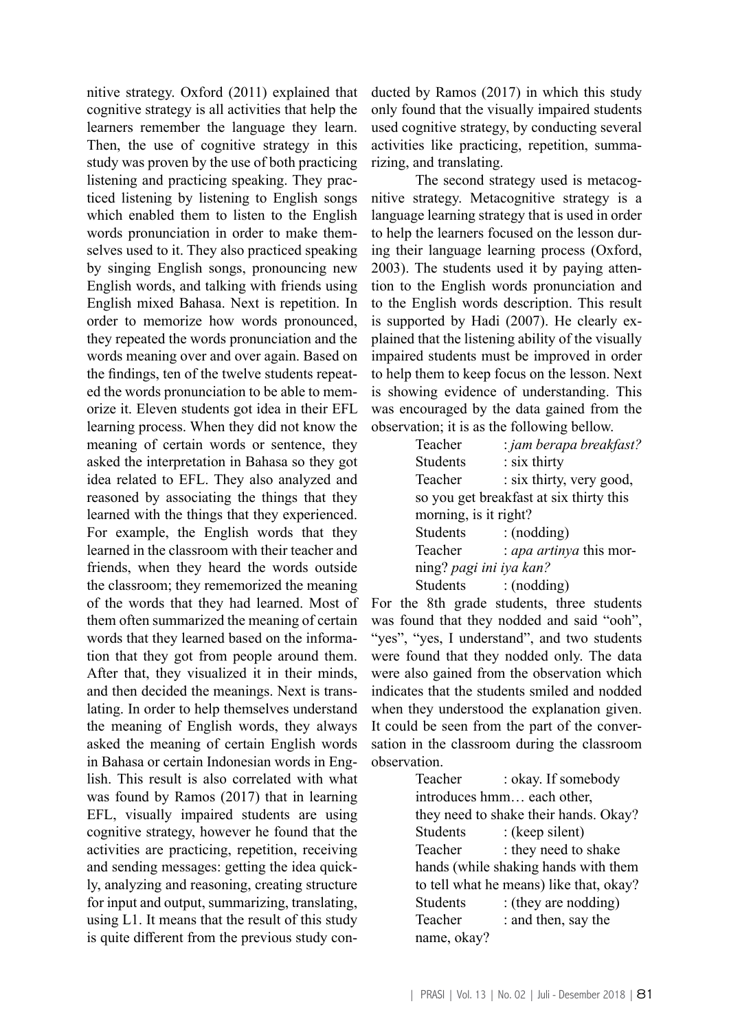nitive strategy. Oxford (2011) explained that cognitive strategy is all activities that help the learners remember the language they learn. Then, the use of cognitive strategy in this study was proven by the use of both practicing listening and practicing speaking. They practiced listening by listening to English songs which enabled them to listen to the English words pronunciation in order to make themselves used to it. They also practiced speaking by singing English songs, pronouncing new English words, and talking with friends using English mixed Bahasa. Next is repetition. In order to memorize how words pronounced, they repeated the words pronunciation and the words meaning over and over again. Based on the findings, ten of the twelve students repeated the words pronunciation to be able to memorize it. Eleven students got idea in their EFL learning process. When they did not know the meaning of certain words or sentence, they asked the interpretation in Bahasa so they got idea related to EFL. They also analyzed and reasoned by associating the things that they learned with the things that they experienced. For example, the English words that they learned in the classroom with their teacher and friends, when they heard the words outside the classroom; they rememorized the meaning of the words that they had learned. Most of them often summarized the meaning of certain words that they learned based on the information that they got from people around them. After that, they visualized it in their minds, and then decided the meanings. Next is translating. In order to help themselves understand the meaning of English words, they always asked the meaning of certain English words in Bahasa or certain Indonesian words in English. This result is also correlated with what was found by Ramos (2017) that in learning EFL, visually impaired students are using cognitive strategy, however he found that the activities are practicing, repetition, receiving and sending messages: getting the idea quickly, analyzing and reasoning, creating structure for input and output, summarizing, translating, using L1. It means that the result of this study is quite different from the previous study con-

ducted by Ramos (2017) in which this study only found that the visually impaired students used cognitive strategy, by conducting several activities like practicing, repetition, summarizing, and translating.

The second strategy used is metacognitive strategy. Metacognitive strategy is a language learning strategy that is used in order to help the learners focused on the lesson during their language learning process (Oxford, 2003). The students used it by paying attention to the English words pronunciation and to the English words description. This result is supported by Hadi (2007). He clearly explained that the listening ability of the visually impaired students must be improved in order to help them to keep focus on the lesson. Next is showing evidence of understanding. This was encouraged by the data gained from the observation; it is as the following bellow.

| Teacher                 | : jam berapa breakfast?                 |
|-------------------------|-----------------------------------------|
| <b>Students</b>         | : six thirty                            |
| Teacher                 | : six thirty, very good,                |
|                         | so you get breakfast at six thirty this |
| morning, is it right?   |                                         |
| <b>Students</b>         | : (nodding)                             |
| Teacher                 | : apa artinya this mor-                 |
| ning? pagi ini iya kan? |                                         |
| Students                | :(nodding)                              |

For the 8th grade students, three students was found that they nodded and said "ooh", "yes", "yes, I understand", and two students were found that they nodded only. The data were also gained from the observation which indicates that the students smiled and nodded when they understood the explanation given. It could be seen from the part of the conversation in the classroom during the classroom observation.

> Teacher : okay. If somebody introduces hmm… each other, they need to shake their hands. Okay? Students : (keep silent) Teacher : they need to shake hands (while shaking hands with them to tell what he means) like that, okay? Students : (they are nodding) Teacher : and then, say the name, okay?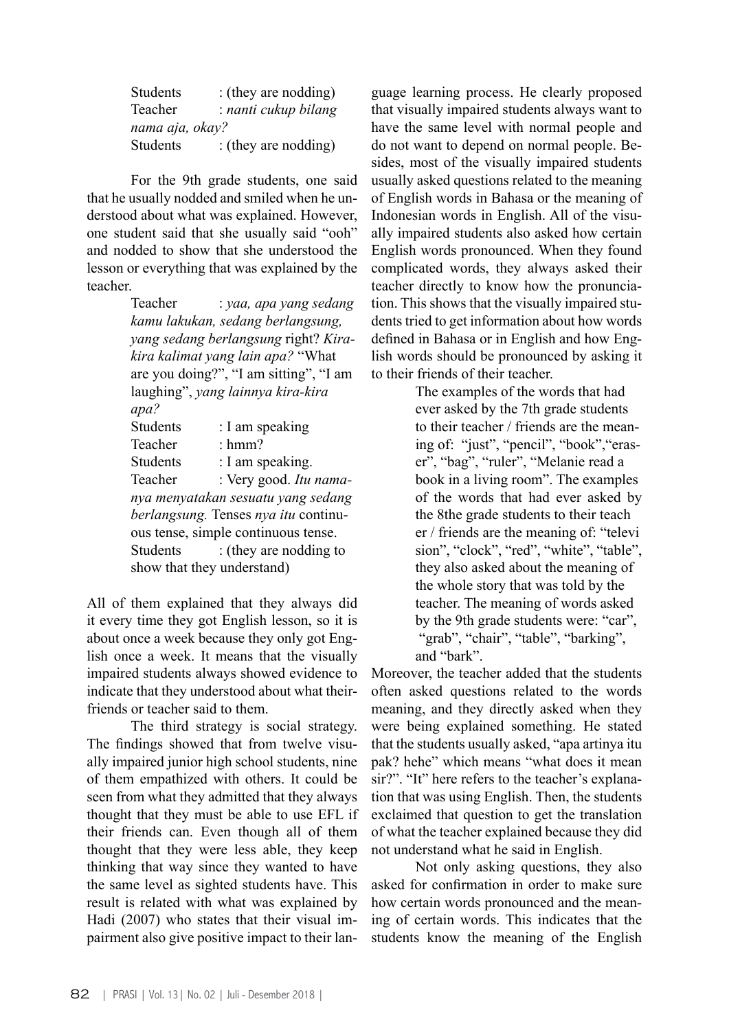| <b>Students</b> | : (they are nodding) |
|-----------------|----------------------|
| Teacher         | : nanti cukup bilang |
| nama aja, okay? |                      |
| <b>Students</b> | : (they are nodding) |

For the 9th grade students, one said that he usually nodded and smiled when he understood about what was explained. However, one student said that she usually said "ooh" and nodded to show that she understood the lesson or everything that was explained by the teacher.

> Teacher : *yaa, apa yang sedang kamu lakukan, sedang berlangsung, yang sedang berlangsung* right? *Kirakira kalimat yang lain apa?* "What are you doing?", "I am sitting", "I am laughing", *yang lainnya kira-kira apa?*  Students : I am speaking Teacher : hmm? Students : I am speaking. Teacher : Very good. *Itu namanya menyatakan sesuatu yang sedang berlangsung.* Tenses *nya itu* continuous tense, simple continuous tense. Students : (they are nodding to show that they understand)

All of them explained that they always did it every time they got English lesson, so it is about once a week because they only got English once a week. It means that the visually impaired students always showed evidence to indicate that they understood about what theirfriends or teacher said to them.

The third strategy is social strategy. The findings showed that from twelve visually impaired junior high school students, nine of them empathized with others. It could be seen from what they admitted that they always thought that they must be able to use EFL if their friends can. Even though all of them thought that they were less able, they keep thinking that way since they wanted to have the same level as sighted students have. This result is related with what was explained by Hadi (2007) who states that their visual impairment also give positive impact to their lan-

guage learning process. He clearly proposed that visually impaired students always want to have the same level with normal people and do not want to depend on normal people. Besides, most of the visually impaired students usually asked questions related to the meaning of English words in Bahasa or the meaning of Indonesian words in English. All of the visually impaired students also asked how certain English words pronounced. When they found complicated words, they always asked their teacher directly to know how the pronunciation. This shows that the visually impaired students tried to get information about how words defined in Bahasa or in English and how English words should be pronounced by asking it to their friends of their teacher.

> The examples of the words that had ever asked by the 7th grade students to their teacher / friends are the meaning of: "just", "pencil", "book", "eraser", "bag", "ruler", "Melanie read a book in a living room". The examples of the words that had ever asked by the 8the grade students to their teach er / friends are the meaning of: "televi sion", "clock", "red", "white", "table", they also asked about the meaning of the whole story that was told by the teacher. The meaning of words asked by the 9th grade students were: "car", "grab", "chair", "table", "barking", and "bark".

Moreover, the teacher added that the students often asked questions related to the words meaning, and they directly asked when they were being explained something. He stated that the students usually asked, "apa artinya itu pak? hehe" which means "what does it mean sir?". "It" here refers to the teacher's explanation that was using English. Then, the students exclaimed that question to get the translation of what the teacher explained because they did not understand what he said in English.

Not only asking questions, they also asked for confirmation in order to make sure how certain words pronounced and the meaning of certain words. This indicates that the students know the meaning of the English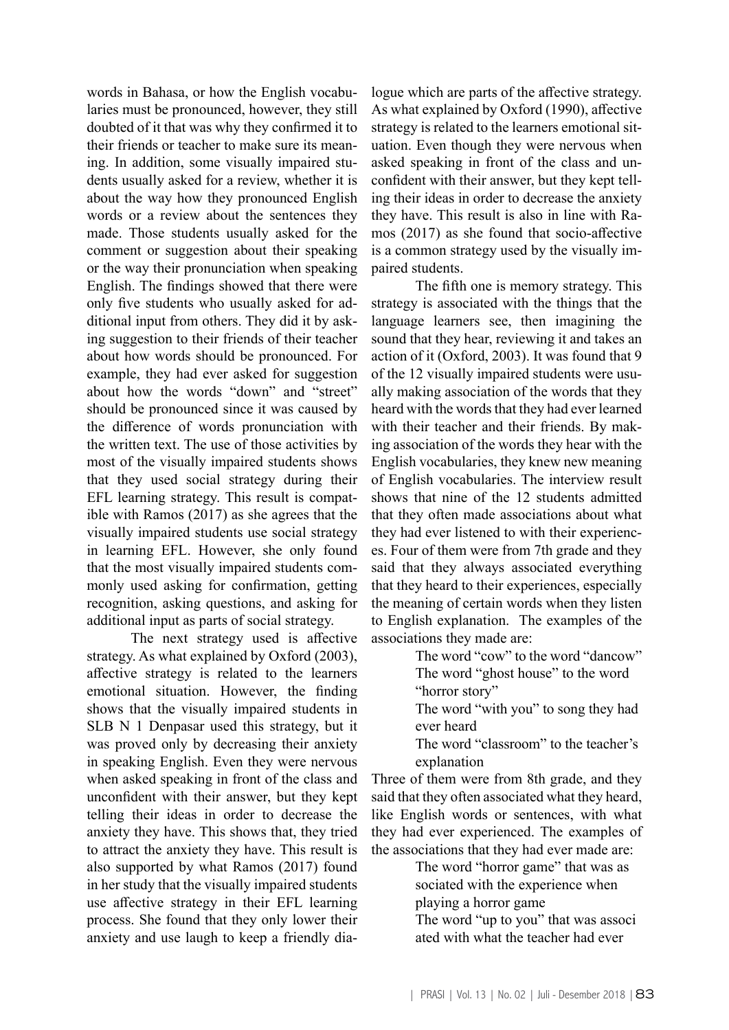words in Bahasa, or how the English vocabularies must be pronounced, however, they still doubted of it that was why they confirmed it to their friends or teacher to make sure its meaning. In addition, some visually impaired students usually asked for a review, whether it is about the way how they pronounced English words or a review about the sentences they made. Those students usually asked for the comment or suggestion about their speaking or the way their pronunciation when speaking English. The findings showed that there were only five students who usually asked for additional input from others. They did it by asking suggestion to their friends of their teacher about how words should be pronounced. For example, they had ever asked for suggestion about how the words "down" and "street" should be pronounced since it was caused by the difference of words pronunciation with the written text. The use of those activities by most of the visually impaired students shows that they used social strategy during their EFL learning strategy. This result is compatible with Ramos (2017) as she agrees that the visually impaired students use social strategy in learning EFL. However, she only found that the most visually impaired students commonly used asking for confirmation, getting recognition, asking questions, and asking for additional input as parts of social strategy.

The next strategy used is affective strategy. As what explained by Oxford (2003), affective strategy is related to the learners emotional situation. However, the finding shows that the visually impaired students in SLB N 1 Denpasar used this strategy, but it was proved only by decreasing their anxiety in speaking English. Even they were nervous when asked speaking in front of the class and unconfident with their answer, but they kept telling their ideas in order to decrease the anxiety they have. This shows that, they tried to attract the anxiety they have. This result is also supported by what Ramos (2017) found in her study that the visually impaired students use affective strategy in their EFL learning process. She found that they only lower their anxiety and use laugh to keep a friendly dia-

logue which are parts of the affective strategy. As what explained by Oxford (1990), affective strategy is related to the learners emotional situation. Even though they were nervous when asked speaking in front of the class and unconfident with their answer, but they kept telling their ideas in order to decrease the anxiety they have. This result is also in line with Ramos (2017) as she found that socio-affective is a common strategy used by the visually impaired students.

The fifth one is memory strategy. This strategy is associated with the things that the language learners see, then imagining the sound that they hear, reviewing it and takes an action of it (Oxford, 2003). It was found that 9 of the 12 visually impaired students were usually making association of the words that they heard with the words that they had ever learned with their teacher and their friends. By making association of the words they hear with the English vocabularies, they knew new meaning of English vocabularies. The interview result shows that nine of the 12 students admitted that they often made associations about what they had ever listened to with their experiences. Four of them were from 7th grade and they said that they always associated everything that they heard to their experiences, especially the meaning of certain words when they listen to English explanation. The examples of the associations they made are:

The word "cow" to the word "dancow" The word "ghost house" to the word "horror story"

The word "with you" to song they had ever heard

The word "classroom" to the teacher's explanation

Three of them were from 8th grade, and they said that they often associated what they heard, like English words or sentences, with what they had ever experienced. The examples of the associations that they had ever made are:

> The word "horror game" that was as sociated with the experience when playing a horror game

The word "up to you" that was associ ated with what the teacher had ever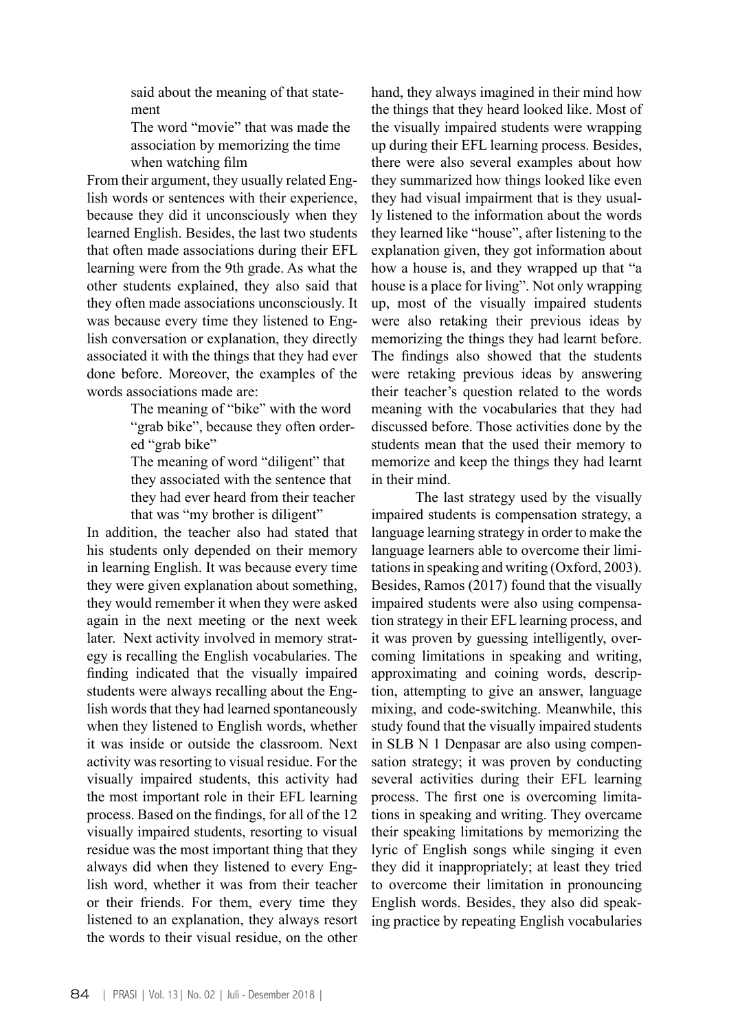said about the meaning of that statement

The word "movie" that was made the association by memorizing the time when watching film

From their argument, they usually related English words or sentences with their experience, because they did it unconsciously when they learned English. Besides, the last two students that often made associations during their EFL learning were from the 9th grade. As what the other students explained, they also said that they often made associations unconsciously. It was because every time they listened to English conversation or explanation, they directly associated it with the things that they had ever done before. Moreover, the examples of the words associations made are:

> The meaning of "bike" with the word "grab bike", because they often ordered "grab bike"

The meaning of word "diligent" that they associated with the sentence that they had ever heard from their teacher that was "my brother is diligent"

In addition, the teacher also had stated that his students only depended on their memory in learning English. It was because every time they were given explanation about something, they would remember it when they were asked again in the next meeting or the next week later. Next activity involved in memory strategy is recalling the English vocabularies. The finding indicated that the visually impaired students were always recalling about the English words that they had learned spontaneously when they listened to English words, whether it was inside or outside the classroom. Next activity was resorting to visual residue. For the visually impaired students, this activity had the most important role in their EFL learning process. Based on the findings, for all of the 12 visually impaired students, resorting to visual residue was the most important thing that they always did when they listened to every English word, whether it was from their teacher or their friends. For them, every time they listened to an explanation, they always resort the words to their visual residue, on the other

hand, they always imagined in their mind how the things that they heard looked like. Most of the visually impaired students were wrapping up during their EFL learning process. Besides, there were also several examples about how they summarized how things looked like even they had visual impairment that is they usually listened to the information about the words they learned like "house", after listening to the explanation given, they got information about how a house is, and they wrapped up that "a house is a place for living". Not only wrapping up, most of the visually impaired students were also retaking their previous ideas by memorizing the things they had learnt before. The findings also showed that the students were retaking previous ideas by answering their teacher's question related to the words meaning with the vocabularies that they had discussed before. Those activities done by the students mean that the used their memory to memorize and keep the things they had learnt in their mind.

The last strategy used by the visually impaired students is compensation strategy, a language learning strategy in order to make the language learners able to overcome their limitations in speaking and writing (Oxford, 2003). Besides, Ramos (2017) found that the visually impaired students were also using compensation strategy in their EFL learning process, and it was proven by guessing intelligently, overcoming limitations in speaking and writing, approximating and coining words, description, attempting to give an answer, language mixing, and code-switching. Meanwhile, this study found that the visually impaired students in SLB N 1 Denpasar are also using compensation strategy; it was proven by conducting several activities during their EFL learning process. The first one is overcoming limitations in speaking and writing. They overcame their speaking limitations by memorizing the lyric of English songs while singing it even they did it inappropriately; at least they tried to overcome their limitation in pronouncing English words. Besides, they also did speaking practice by repeating English vocabularies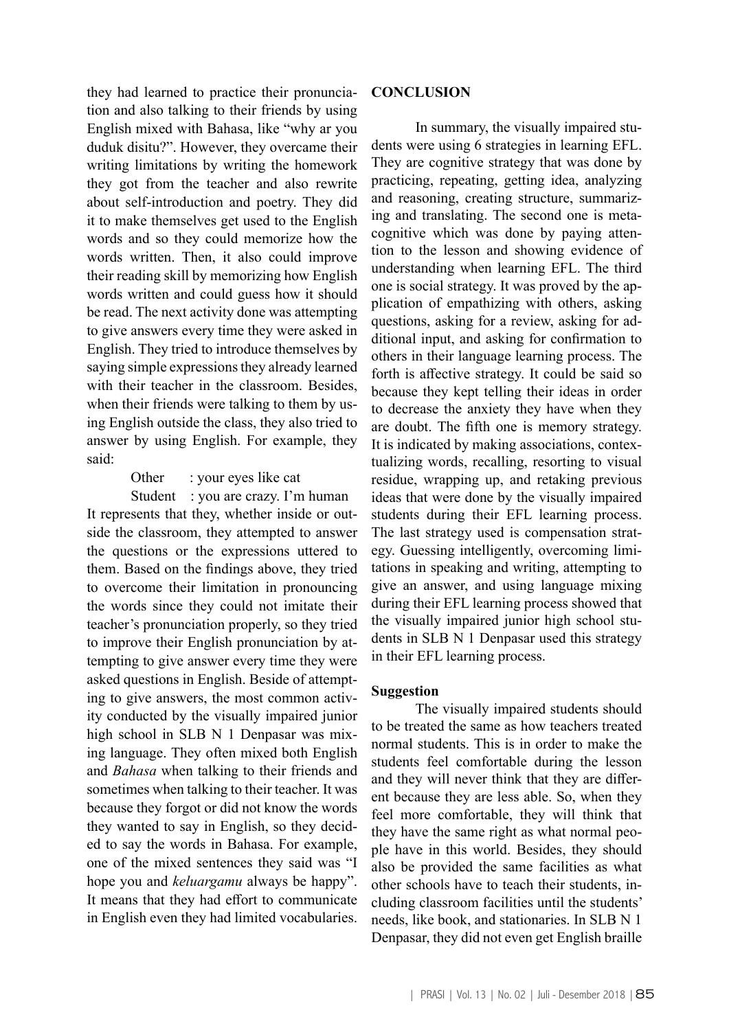they had learned to practice their pronunciation and also talking to their friends by using English mixed with Bahasa, like "why ar you duduk disitu?". However, they overcame their writing limitations by writing the homework they got from the teacher and also rewrite about self-introduction and poetry. They did it to make themselves get used to the English words and so they could memorize how the words written. Then, it also could improve their reading skill by memorizing how English words written and could guess how it should be read. The next activity done was attempting to give answers every time they were asked in English. They tried to introduce themselves by saying simple expressions they already learned with their teacher in the classroom. Besides, when their friends were talking to them by using English outside the class, they also tried to answer by using English. For example, they said:

#### Other : your eyes like cat

Student : you are crazy. I'm human It represents that they, whether inside or outside the classroom, they attempted to answer the questions or the expressions uttered to them. Based on the findings above, they tried to overcome their limitation in pronouncing the words since they could not imitate their teacher's pronunciation properly, so they tried to improve their English pronunciation by attempting to give answer every time they were asked questions in English. Beside of attempting to give answers, the most common activity conducted by the visually impaired junior high school in SLB N 1 Denpasar was mixing language. They often mixed both English and *Bahasa* when talking to their friends and sometimes when talking to their teacher. It was because they forgot or did not know the words they wanted to say in English, so they decided to say the words in Bahasa. For example, one of the mixed sentences they said was "I hope you and *keluargamu* always be happy". It means that they had effort to communicate in English even they had limited vocabularies.

#### **CONCLUSION**

In summary, the visually impaired students were using 6 strategies in learning EFL. They are cognitive strategy that was done by practicing, repeating, getting idea, analyzing and reasoning, creating structure, summarizing and translating. The second one is metacognitive which was done by paying attention to the lesson and showing evidence of understanding when learning EFL. The third one is social strategy. It was proved by the application of empathizing with others, asking questions, asking for a review, asking for additional input, and asking for confirmation to others in their language learning process. The forth is affective strategy. It could be said so because they kept telling their ideas in order to decrease the anxiety they have when they are doubt. The fifth one is memory strategy. It is indicated by making associations, contextualizing words, recalling, resorting to visual residue, wrapping up, and retaking previous ideas that were done by the visually impaired students during their EFL learning process. The last strategy used is compensation strategy. Guessing intelligently, overcoming limitations in speaking and writing, attempting to give an answer, and using language mixing during their EFL learning process showed that the visually impaired junior high school students in SLB N 1 Denpasar used this strategy in their EFL learning process.

#### **Suggestion**

The visually impaired students should to be treated the same as how teachers treated normal students. This is in order to make the students feel comfortable during the lesson and they will never think that they are different because they are less able. So, when they feel more comfortable, they will think that they have the same right as what normal people have in this world. Besides, they should also be provided the same facilities as what other schools have to teach their students, including classroom facilities until the students' needs, like book, and stationaries. In SLB N 1 Denpasar, they did not even get English braille